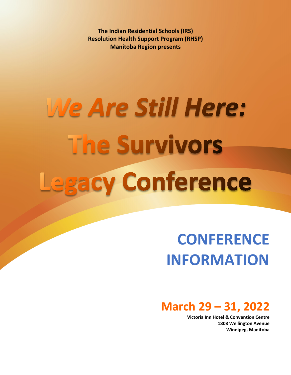**The Indian Residential Schools (IRS) Resolution Health Support Program (RHSP) Manitoba Region presents**

# We Are Still Here: **The Survivors** Legacy Conference

# **CONFERENCE INFORMATION**

# **March 29 – 31, 2022**

**Victoria Inn Hotel & Convention Centre 1808 Wellington Avenue Winnipeg, Manitoba**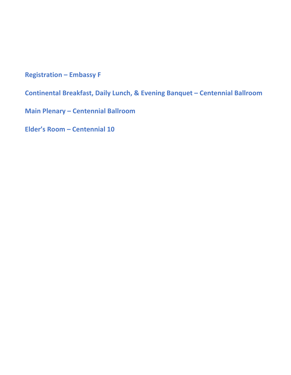**Registration – Embassy F**

**Continental Breakfast, Daily Lunch, & Evening Banquet – Centennial Ballroom**

**Main Plenary – Centennial Ballroom**

**Elder's Room – Centennial 10**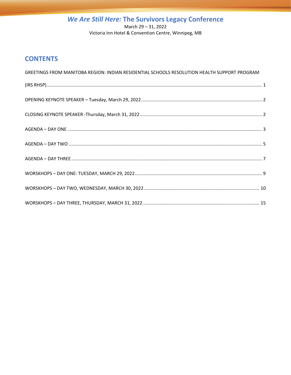## We Are Still Here: The Survivors Legacy Conference March 29 - 31, 2022

Victoria Inn Hotel & Convention Centre, Winnipeg, MB

## **CONTENTS**

| GREETINGS FROM MANITOBA REGION: INDIAN RESIDENTIAL SCHOOLS RESOLUTION HEALTH SUPPORT PROGRAM |  |
|----------------------------------------------------------------------------------------------|--|
| $(RS R HSP)\hspace*{20pt} 1$                                                                 |  |
|                                                                                              |  |
|                                                                                              |  |
|                                                                                              |  |
|                                                                                              |  |
|                                                                                              |  |
|                                                                                              |  |
|                                                                                              |  |
|                                                                                              |  |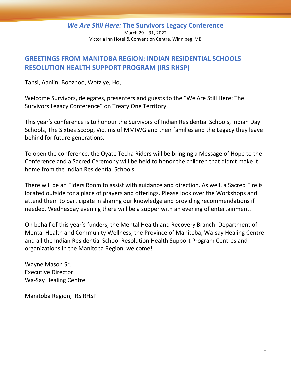March 29 – 31, 2022 Victoria Inn Hotel & Convention Centre, Winnipeg, MB

## <span id="page-3-0"></span>**GREETINGS FROM MANITOBA REGION: INDIAN RESIDENTIAL SCHOOLS RESOLUTION HEALTH SUPPORT PROGRAM (IRS RHSP)**

Tansi, Aaniin, Boozhoo, Wotziye, Ho,

Welcome Survivors, delegates, presenters and guests to the "We Are Still Here: The Survivors Legacy Conference" on Treaty One Territory.

This year's conference is to honour the Survivors of Indian Residential Schools, Indian Day Schools, The Sixties Scoop, Victims of MMIWG and their families and the Legacy they leave behind for future generations.

To open the conference, the Oyate Techa Riders will be bringing a Message of Hope to the Conference and a Sacred Ceremony will be held to honor the children that didn't make it home from the Indian Residential Schools.

There will be an Elders Room to assist with guidance and direction. As well, a Sacred Fire is located outside for a place of prayers and offerings. Please look over the Workshops and attend them to participate in sharing our knowledge and providing recommendations if needed. Wednesday evening there will be a supper with an evening of entertainment.

On behalf of this year's funders, the Mental Health and Recovery Branch: Department of Mental Health and Community Wellness, the Province of Manitoba, Wa-say Healing Centre and all the Indian Residential School Resolution Health Support Program Centres and organizations in the Manitoba Region, welcome!

Wayne Mason Sr. Executive Director Wa-Say Healing Centre

Manitoba Region, IRS RHSP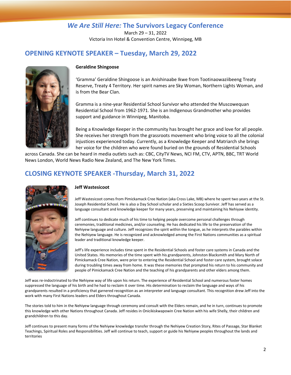March 29 – 31, 2022 Victoria Inn Hotel & Convention Centre, Winnipeg, MB

## <span id="page-4-0"></span>**OPENING KEYNOTE SPEAKER – Tuesday, March 29, 2022**



#### **Geraldine Shingoose**

'Gramma' Geraldine Shingoose is an Anishinaabe Ikwe from Tootinaowaziibeeng Treaty Reserve, Treaty 4 Territory. Her spirit names are Sky Woman, Northern Lights Woman, and is from the Bear Clan.

Gramma is a nine-year Residential School Survivor who attended the Muscowequan Residential School from 1962-1971. She is an Indigenous Grandmother who provides support and guidance in Winnipeg, Manitoba.

Being a Knowledge Keeper in the community has brought her grace and love for all people. She receives her strength from the grassroots movement who bring voice to all the colonial injustices experienced today. Currently, as a Knowledge Keeper and Matriarch she brings her voice for the children who were found buried on the grounds of Residential Schools

across Canada. She can be heard in media outlets such as: CBC, CityTV News, NCI FM, CTV, APTN, BBC, TRT World News London, World News Radio New Zealand, and The New York Times.

## <span id="page-4-1"></span>**CLOSING KEYNOTE SPEAKER -Thursday, March 31, 2022**



#### **Jeff Wastesicoot**

Jeff Wastesicoot comes from Pimickamack Cree Nation (aka Cross Lake, MB) where he spent two years at the St. Joseph Residential School. He is also a Day School scholar and a Sixties Scoop Survivor. Jeff has served as a language consultant and knowledge keeper for many years, preserving and maintaining his Nehiyaw identity.

Jeff continues to dedicate much of his time to helping people overcome personal challenges through ceremonies, traditional medicines, and/or counseling. He has dedicated his life to the preservation of the Nehiyew language and culture. Jeff recognizes the spirit within the tongue, as he interprets the parables within the Nehiyew language. He is recognized and acknowledged among the First Nations communities as a spiritual leader and traditional knowledge keeper.

Jeff's life experience includes time spent in the Residential Schools and foster care systems in Canada and the United States. His memories of the time spent with his grandparents, Johnston Blacksmith and Mary North of Pimickamack Cree Nation, were prior to entering the Residential School and foster care system, brought solace during troubling times away from home. It was these memories that prompted his return to his community and people of Pimickamack Cree Nation and the teaching of his grandparents and other elders among them.

Jeff was re-indoctrinated to the Nehiyew way of life upon his return. The experience of Residential School and numerous foster homes suppressed the language of his birth and he had to reclaim it over time. His determination to reclaim the language and ways of his grandparents resulted in a proficiency that garnered recognition as an interpreter and language consultant. This recognition drew Jeff into the work with many First Nations leaders and Elders throughout Canada.

The stories told to him in the Nehiyew language through ceremony and consult with the Elders remain, and he in turn, continues to promote this knowledge with other Nations throughout Canada. Jeff resides in Onicikiskwapowin Cree Nation with his wife Shelly, their children and grandchildren to this day.

Jeff continues to present many forms of the Nehiyew knowledge transfer through the Nehiyew Creation Story, Rites of Passage, Star Blanket Teachings, Spiritual Roles and Responsibilities. Jeff will continue to teach, support or guide his Nehiyew peoples throughout the lands and territories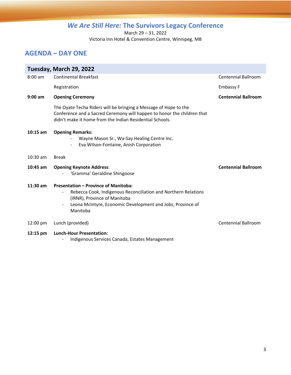March 29 – 31, 2022

Victoria Inn Hotel & Convention Centre, Winnipeg, MB

## <span id="page-5-0"></span>**AGENDA – DAY ONE**

|                    | Tuesday, March 29, 2022                                                                                                                                                                                                                             |                            |
|--------------------|-----------------------------------------------------------------------------------------------------------------------------------------------------------------------------------------------------------------------------------------------------|----------------------------|
| $8:00$ am          | <b>Continental Breakfast</b>                                                                                                                                                                                                                        | <b>Centennial Ballroom</b> |
|                    | Registration                                                                                                                                                                                                                                        | <b>Embassy F</b>           |
| $9:00$ am          | <b>Opening Ceremony</b>                                                                                                                                                                                                                             | <b>Centennial Ballroom</b> |
|                    | The Oyate Techa Riders will be bringing a Message of Hope to the<br>Conference and a Sacred Ceremony will happen to honor the children that<br>didn't make it home from the Indian Residential Schools.                                             |                            |
| $10:15$ am         | <b>Opening Remarks:</b><br>Wayne Mason Sr., Wa-Say Healing Centre Inc.<br>Eva Wilson-Fontaine, Anish Corporation                                                                                                                                    |                            |
| $10:30$ am         | <b>Break</b>                                                                                                                                                                                                                                        |                            |
| $10:45$ am         | <b>Opening Keynote Address:</b><br>'Gramma' Geraldine Shingoose                                                                                                                                                                                     | <b>Centennial Ballroom</b> |
| $11:30$ am         | <b>Presentation - Province of Manitoba:</b><br>Rebecca Cook, Indigenous Reconciliation and Northern Relations<br>(IRNR), Province of Manitoba<br>Leona McIntyre, Economic Development and Jobs, Province of<br>$\overline{\phantom{a}}$<br>Manitoba |                            |
| 12:00 pm           | Lunch (provided)                                                                                                                                                                                                                                    | <b>Centennial Ballroom</b> |
| $12:15 \text{ pm}$ | <b>Lunch-Hour Presentation:</b><br>Indigenous Services Canada, Estates Management                                                                                                                                                                   |                            |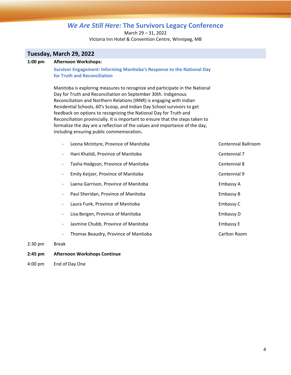March 29 – 31, 2022 Victoria Inn Hotel & Convention Centre, Winnipeg, MB

## **Tuesday, March 29, 2022**

#### **1:00 pm Afternoon Workshops:**

**Survivor Engagement: Informing Manitoba's Response to the National Day for Truth and Reconciliation**

Manitoba is exploring measures to recognize and participate in the National Day for Truth and Reconciliation on September 30th. Indigenous Reconciliation and Northern Relations (IRNR) is engaging with Indian Residential Schools, 60's Scoop, and Indian Day School survivors to get feedback on options to recognizing the National Day for Truth and Reconciliation provincially. It is important to ensure that the steps taken to formalize the day are a reflection of the values and importance of the day, including ensuring public commemoration**.** 

|                          | Leona McIntyre, Province of Manitoba | Centennial Ballroom |
|--------------------------|--------------------------------------|---------------------|
| $\overline{\phantom{a}}$ | Hani Khalidi, Province of Manitoba   | Centennial 7        |
|                          | Tasha Hodgson, Province of Manitoba  | Centennial 8        |
|                          | Emily Keijzer, Province of Manitoba  | Centennial 9        |
| -                        | Laena Garrison, Province of Manitoba | Embassy A           |
|                          | Paul Sheridan, Province of Manitoba  | <b>Embassy B</b>    |
|                          | Laura Funk, Province of Manitoba     | Embassy C           |
|                          | Lisa Bergen, Province of Manitoba    | Embassy D           |
|                          | Jasmine Chubb, Province of Manitoba  | <b>Embassy E</b>    |
|                          | Thomas Beaudry, Province of Manitoba | Carlton Room        |
|                          |                                      |                     |

2:30 pm Break

#### **2:45 pm Afternoon Workshops Continue**

4:00 pm End of Day One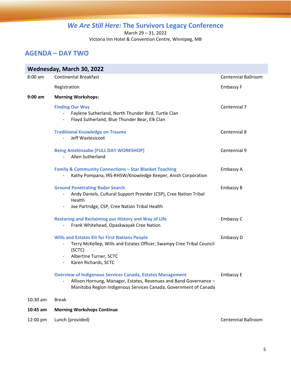March 29 – 31, 2022 Victoria Inn Hotel & Convention Centre, Winnipeg, MB

## <span id="page-7-0"></span>**AGENDA – DAY TWO**

|           | Wednesday, March 30, 2022                                                                                                                                                                                                                                               |                            |
|-----------|-------------------------------------------------------------------------------------------------------------------------------------------------------------------------------------------------------------------------------------------------------------------------|----------------------------|
| $8:00$ am | <b>Continental Breakfast</b>                                                                                                                                                                                                                                            | <b>Centennial Ballroom</b> |
|           | Registration                                                                                                                                                                                                                                                            | <b>Embassy F</b>           |
| $9:00$ am | <b>Morning Workshops:</b>                                                                                                                                                                                                                                               |                            |
|           | <b>Finding Our Way</b><br>Faylene Sutherland, North Thunder Bird, Turtle Clan<br>$\sim$<br>Floyd Sutherland, Blue Thunder Bear, Elk Clan<br>$\sim$ $-$                                                                                                                  | Centennial 7               |
|           | <b>Traditional Knowledge on Trauma</b><br>Jeff Wastesicoot<br>$\overline{\phantom{a}}$                                                                                                                                                                                  | Centennial 8               |
|           | <b>Being Anishinaabe [FULL DAY WORKSHOP]</b><br>Allen Sutherland<br>$\sim$                                                                                                                                                                                              | Centennial 9               |
|           | <b>Family &amp; Community Connections - Star Blanket Teaching</b><br>Kathy Pompana, IRS-RHSW/Knowledge Keeper, Anish Corporation                                                                                                                                        | Embassy A                  |
|           | <b>Ground Penetrating Radar Search</b><br>Andy Daniels, Cultural Support Provider (CSP), Cree Nation Tribal<br>$\overline{\phantom{a}}$<br>Health<br>Joe Partridge, CSP, Cree Nation Tribal Health                                                                      | Embassy B                  |
|           | <b>Restoring and Reclaiming our History and Way of Life</b><br>Frank Whitehead, Opaskwayak Cree Nation                                                                                                                                                                  | Embassy C                  |
|           | <b>Wills and Estates Kit for First Nations People</b><br>Terry McKellep, Wills and Estates Officer, Swampy Cree Tribal Council<br>$\overline{\phantom{a}}$<br>(SCTC)<br>Albertine Turner, SCTC<br>$\overline{\phantom{a}}$<br>Karen Richards, SCTC<br>$\qquad \qquad -$ | Embassy D                  |
|           | <b>Overview of Indigenous Services Canada, Estates Management</b><br>Allison Hornung, Manager, Estates, Revenues and Band Governance -<br>Manitoba Region Indigenous Services Canada, Government of Canada                                                              | <b>Embassy E</b>           |
| 10:30 am  | <b>Break</b>                                                                                                                                                                                                                                                            |                            |
| 10:45 am  | <b>Morning Workshops Continue</b>                                                                                                                                                                                                                                       |                            |
| 12:00 pm  | Lunch (provided)                                                                                                                                                                                                                                                        | <b>Centennial Ballroom</b> |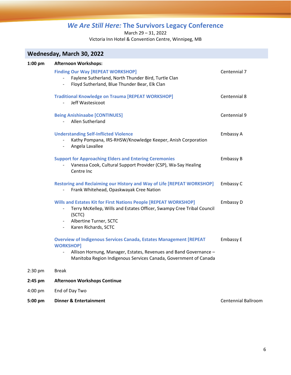March 29 – 31, 2022

Victoria Inn Hotel & Convention Centre, Winnipeg, MB

| Wednesday, March 30, 2022 |                                                                                                                                                                                                                                             |                            |  |
|---------------------------|---------------------------------------------------------------------------------------------------------------------------------------------------------------------------------------------------------------------------------------------|----------------------------|--|
| $1:00$ pm                 | <b>Afternoon Workshops:</b><br><b>Finding Our Way [REPEAT WORKSHOP]</b><br>Faylene Sutherland, North Thunder Bird, Turtle Clan<br>Floyd Sutherland, Blue Thunder Bear, Elk Clan                                                             | Centennial 7               |  |
|                           | <b>Traditional Knowledge on Trauma [REPEAT WORKSHOP]</b><br>Jeff Wastesicoot                                                                                                                                                                | Centennial 8               |  |
|                           | <b>Being Anishinaabe [CONTINUES]</b><br>Allen Sutherland<br>$\sim$                                                                                                                                                                          | Centennial 9               |  |
|                           | <b>Understanding Self-Inflicted Violence</b><br>Kathy Pompana, IRS-RHSW/Knowledge Keeper, Anish Corporation<br>Angela Lavallee<br>$\overline{\phantom{0}}$                                                                                  | Embassy A                  |  |
|                           | <b>Support for Approaching Elders and Entering Ceremonies</b><br>Vanessa Cook, Cultural Support Provider (CSP), Wa-Say Healing<br>Centre Inc                                                                                                | Embassy B                  |  |
|                           | Restoring and Reclaiming our History and Way of Life [REPEAT WORKSHOP]<br>Frank Whitehead, Opaskwayak Cree Nation                                                                                                                           | Embassy C                  |  |
|                           | Wills and Estates Kit for First Nations People [REPEAT WORKSHOP]<br>Terry McKellep, Wills and Estates Officer, Swampy Cree Tribal Council<br>(SCTC)<br>Albertine Turner, SCTC<br>$\sim$<br>Karen Richards, SCTC<br>$\overline{\phantom{0}}$ | Embassy D                  |  |
|                           | <b>Overview of Indigenous Services Canada, Estates Management [REPEAT</b><br><b>WORKSHOP]</b><br>Allison Hornung, Manager, Estates, Revenues and Band Governance -<br>Manitoba Region Indigenous Services Canada, Government of Canada      | <b>Embassy E</b>           |  |
| 2:30 pm                   | <b>Break</b>                                                                                                                                                                                                                                |                            |  |
| $2:45$ pm                 | <b>Afternoon Workshops Continue</b>                                                                                                                                                                                                         |                            |  |
| $4:00$ pm                 | End of Day Two                                                                                                                                                                                                                              |                            |  |
| 5:00 pm                   | <b>Dinner &amp; Entertainment</b>                                                                                                                                                                                                           | <b>Centennial Ballroom</b> |  |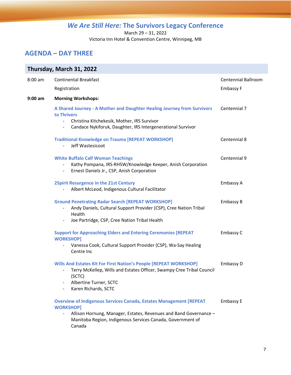March 29 – 31, 2022

Victoria Inn Hotel & Convention Centre, Winnipeg, MB

## <span id="page-9-0"></span>**AGENDA – DAY THREE**

| Thursday, March 31, 2022 |                                                                                                                                                                                                                                            |                            |  |
|--------------------------|--------------------------------------------------------------------------------------------------------------------------------------------------------------------------------------------------------------------------------------------|----------------------------|--|
| 8:00 am                  | <b>Continental Breakfast</b>                                                                                                                                                                                                               | <b>Centennial Ballroom</b> |  |
|                          | Registration                                                                                                                                                                                                                               | Embassy F                  |  |
| 9:00 am                  | <b>Morning Workshops:</b>                                                                                                                                                                                                                  |                            |  |
|                          | A Shared Journey - A Mother and Daughter Healing Journey from Survivors<br>to Thrivers<br>Christina Kitchekesik, Mother, IRS Survivor<br>$\blacksquare$<br>Candace Nykiforuk, Daughter, IRS Intergenerational Survivor<br>$\blacksquare$   | Centennial 7               |  |
|                          | <b>Traditional Knowledge on Trauma [REPEAT WORKSHOP]</b><br>Jeff Wastesicoot                                                                                                                                                               | Centennial 8               |  |
|                          | <b>White Buffalo Calf Woman Teachings</b><br>Kathy Pompana, IRS-RHSW/Knowledge Keeper, Anish Corporation<br>Ernest Daniels Jr., CSP, Anish Corporation<br>$\overline{\phantom{a}}$                                                         | Centennial 9               |  |
|                          | <b>2Spirit Resurgence in the 21st Century</b><br>Albert McLeod, Indigenous Cultural Facilitator                                                                                                                                            | Embassy A                  |  |
|                          | <b>Ground Penetrating Radar Search [REPEAT WORKSHOP]</b><br>Andy Daniels, Cultural Support Provider (CSP), Cree Nation Tribal<br>Health<br>Joe Partridge, CSP, Cree Nation Tribal Health<br>$\overline{\phantom{a}}$                       | Embassy B                  |  |
|                          | <b>Support for Approaching Elders and Entering Ceremonies [REPEAT</b><br><b>WORKSHOP]</b><br>Vanessa Cook, Cultural Support Provider (CSP), Wa-Say Healing<br>Centre Inc                                                                   | Embassy C                  |  |
|                          | Wills And Estates Kit For First Nation's People [REPEAT WORKSHOP]<br>Terry McKellep, Wills and Estates Officer, Swampy Cree Tribal Council<br>(SCTC)<br>Albertine Turner, SCTC<br>Karen Richards, SCTC                                     | Embassy D                  |  |
|                          | <b>Overview of Indigenous Services Canada, Estates Management [REPEAT</b><br><b>WORKSHOP]</b><br>Allison Hornung, Manager, Estates, Revenues and Band Governance -<br>Manitoba Region, Indigenous Services Canada, Government of<br>Canada | <b>Embassy E</b>           |  |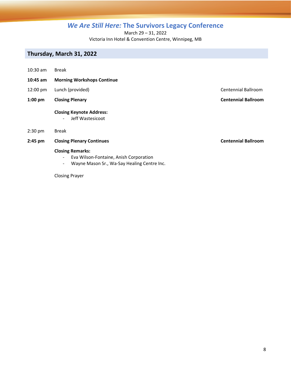March 29 – 31, 2022

Victoria Inn Hotel & Convention Centre, Winnipeg, MB

### **Thursday, March 31, 2022**

- 10:30 am Break
- **10:45 am Morning Workshops Continue**
- 12:00 pm Lunch (provided) Centennial Ballroom
- **1:00 pm Closing Plenary Centennial Ballroom**

#### **Closing Keynote Address:**

- Jeff Wastesicoot

- 2:30 pm Break
- **2:45 pm Closing Plenary Continues Centennial Ballroom**

#### **Closing Remarks:**

- Eva Wilson-Fontaine, Anish Corporation
- Wayne Mason Sr., Wa-Say Healing Centre Inc.

#### Closing Prayer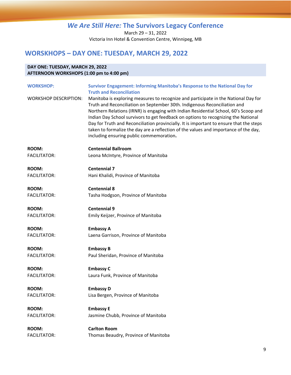March 29 – 31, 2022 Victoria Inn Hotel & Convention Centre, Winnipeg, MB

## <span id="page-11-0"></span>**WORSKHOPS – DAY ONE: TUESDAY, MARCH 29, 2022**

#### **DAY ONE: TUESDAY, MARCH 29, 2022 AFTERNOON WORKSHOPS (1:00 pm to 4:00 pm)**

| <b>WORKSHOP:</b>             | Survivor Engagement: Informing Manitoba's Response to the National Day for<br><b>Truth and Reconciliation</b>                                                                                                                                                                                                                                                                                                                                                                                                                                                                 |
|------------------------------|-------------------------------------------------------------------------------------------------------------------------------------------------------------------------------------------------------------------------------------------------------------------------------------------------------------------------------------------------------------------------------------------------------------------------------------------------------------------------------------------------------------------------------------------------------------------------------|
| <b>WORKSHOP DESCRIPTION:</b> | Manitoba is exploring measures to recognize and participate in the National Day for<br>Truth and Reconciliation on September 30th. Indigenous Reconciliation and<br>Northern Relations (IRNR) is engaging with Indian Residential School, 60's Scoop and<br>Indian Day School survivors to get feedback on options to recognizing the National<br>Day for Truth and Reconciliation provincially. It is important to ensure that the steps<br>taken to formalize the day are a reflection of the values and importance of the day,<br>including ensuring public commemoration. |
| <b>ROOM:</b>                 | <b>Centennial Ballroom</b>                                                                                                                                                                                                                                                                                                                                                                                                                                                                                                                                                    |
| <b>FACILITATOR:</b>          | Leona McIntyre, Province of Manitoba                                                                                                                                                                                                                                                                                                                                                                                                                                                                                                                                          |
| <b>ROOM:</b>                 | <b>Centennial 7</b>                                                                                                                                                                                                                                                                                                                                                                                                                                                                                                                                                           |
| <b>FACILITATOR:</b>          | Hani Khalidi, Province of Manitoba                                                                                                                                                                                                                                                                                                                                                                                                                                                                                                                                            |
| <b>ROOM:</b>                 | <b>Centennial 8</b>                                                                                                                                                                                                                                                                                                                                                                                                                                                                                                                                                           |
| <b>FACILITATOR:</b>          | Tasha Hodgson, Province of Manitoba                                                                                                                                                                                                                                                                                                                                                                                                                                                                                                                                           |
| <b>ROOM:</b>                 | <b>Centennial 9</b>                                                                                                                                                                                                                                                                                                                                                                                                                                                                                                                                                           |
| <b>FACILITATOR:</b>          | Emily Keijzer, Province of Manitoba                                                                                                                                                                                                                                                                                                                                                                                                                                                                                                                                           |
| <b>ROOM:</b>                 | <b>Embassy A</b>                                                                                                                                                                                                                                                                                                                                                                                                                                                                                                                                                              |
| <b>FACILITATOR:</b>          | Laena Garrison, Province of Manitoba                                                                                                                                                                                                                                                                                                                                                                                                                                                                                                                                          |
| <b>ROOM:</b>                 | <b>Embassy B</b>                                                                                                                                                                                                                                                                                                                                                                                                                                                                                                                                                              |
| <b>FACILITATOR:</b>          | Paul Sheridan, Province of Manitoba                                                                                                                                                                                                                                                                                                                                                                                                                                                                                                                                           |
| <b>ROOM:</b>                 | <b>Embassy C</b>                                                                                                                                                                                                                                                                                                                                                                                                                                                                                                                                                              |
| <b>FACILITATOR:</b>          | Laura Funk, Province of Manitoba                                                                                                                                                                                                                                                                                                                                                                                                                                                                                                                                              |
| <b>ROOM:</b>                 | <b>Embassy D</b>                                                                                                                                                                                                                                                                                                                                                                                                                                                                                                                                                              |
| <b>FACILITATOR:</b>          | Lisa Bergen, Province of Manitoba                                                                                                                                                                                                                                                                                                                                                                                                                                                                                                                                             |
| <b>ROOM:</b>                 | <b>Embassy E</b>                                                                                                                                                                                                                                                                                                                                                                                                                                                                                                                                                              |
| <b>FACILITATOR:</b>          | Jasmine Chubb, Province of Manitoba                                                                                                                                                                                                                                                                                                                                                                                                                                                                                                                                           |
| <b>ROOM:</b>                 | <b>Carlton Room</b>                                                                                                                                                                                                                                                                                                                                                                                                                                                                                                                                                           |
| <b>FACILITATOR:</b>          | Thomas Beaudry, Province of Manitoba                                                                                                                                                                                                                                                                                                                                                                                                                                                                                                                                          |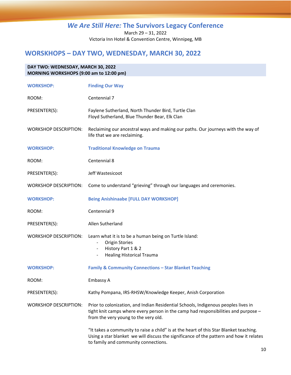March 29 – 31, 2022 Victoria Inn Hotel & Convention Centre, Winnipeg, MB

## <span id="page-12-0"></span>**WORSKHOPS – DAY TWO, WEDNESDAY, MARCH 30, 2022**

| DAY TWO: WEDNESDAY, MARCH 30, 2022<br>MORNING WORKSHOPS (9:00 am to 12:00 pm) |                                                                                                                                                                                                                           |  |
|-------------------------------------------------------------------------------|---------------------------------------------------------------------------------------------------------------------------------------------------------------------------------------------------------------------------|--|
| <b>WORKSHOP:</b>                                                              | <b>Finding Our Way</b>                                                                                                                                                                                                    |  |
| ROOM:                                                                         | Centennial 7                                                                                                                                                                                                              |  |
| PRESENTER(S):                                                                 | Faylene Sutherland, North Thunder Bird, Turtle Clan<br>Floyd Sutherland, Blue Thunder Bear, Elk Clan                                                                                                                      |  |
| <b>WORKSHOP DESCRIPTION:</b>                                                  | Reclaiming our ancestral ways and making our paths. Our journeys with the way of<br>life that we are reclaiming.                                                                                                          |  |
| <b>WORKSHOP:</b>                                                              | <b>Traditional Knowledge on Trauma</b>                                                                                                                                                                                    |  |
| ROOM:                                                                         | Centennial 8                                                                                                                                                                                                              |  |
| PRESENTER(S):                                                                 | Jeff Wastesicoot                                                                                                                                                                                                          |  |
| <b>WORKSHOP DESCRIPTION:</b>                                                  | Come to understand "grieving" through our languages and ceremonies.                                                                                                                                                       |  |
| <b>WORKSHOP:</b>                                                              | <b>Being Anishinaabe [FULL DAY WORKSHOP]</b>                                                                                                                                                                              |  |
| ROOM:                                                                         | Centennial 9                                                                                                                                                                                                              |  |
| PRESENTER(S):                                                                 | Allen Sutherland                                                                                                                                                                                                          |  |
| <b>WORKSHOP DESCRIPTION:</b>                                                  | Learn what it is to be a human being on Turtle Island:<br><b>Origin Stories</b><br>History Part 1 & 2<br><b>Healing Historical Trauma</b><br>$\overline{\phantom{a}}$                                                     |  |
| <b>WORKSHOP:</b>                                                              | <b>Family &amp; Community Connections - Star Blanket Teaching</b>                                                                                                                                                         |  |
| ROOM:                                                                         | Embassy A                                                                                                                                                                                                                 |  |
| PRESENTER(S):                                                                 | Kathy Pompana, IRS-RHSW/Knowledge Keeper, Anish Corporation                                                                                                                                                               |  |
| <b>WORKSHOP DESCRIPTION:</b>                                                  | Prior to colonization, and Indian Residential Schools, Indigenous peoples lives in<br>tight knit camps where every person in the camp had responsibilities and purpose -<br>from the very young to the very old.          |  |
|                                                                               | "It takes a community to raise a child" is at the heart of this Star Blanket teaching.<br>Using a star blanket we will discuss the significance of the pattern and how it relates<br>to family and community connections. |  |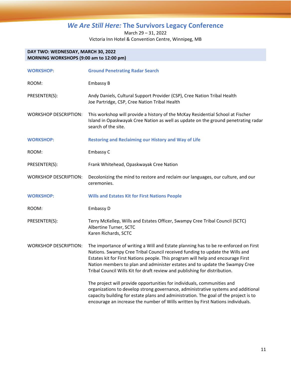March 29 – 31, 2022 Victoria Inn Hotel & Convention Centre, Winnipeg, MB

#### **DAY TWO: WEDNESDAY, MARCH 30, 2022 MORNING WORKSHOPS (9:00 am to 12:00 pm)**

| <b>WORKSHOP:</b>             | <b>Ground Penetrating Radar Search</b>                                                                                                                                                                                                                                                                                                                                                                               |
|------------------------------|----------------------------------------------------------------------------------------------------------------------------------------------------------------------------------------------------------------------------------------------------------------------------------------------------------------------------------------------------------------------------------------------------------------------|
| ROOM:                        | Embassy B                                                                                                                                                                                                                                                                                                                                                                                                            |
| PRESENTER(S):                | Andy Daniels, Cultural Support Provider (CSP), Cree Nation Tribal Health<br>Joe Partridge, CSP, Cree Nation Tribal Health                                                                                                                                                                                                                                                                                            |
| <b>WORKSHOP DESCRIPTION:</b> | This workshop will provide a history of the McKay Residential School at Fischer<br>Island in Opaskwayak Cree Nation as well as update on the ground penetrating radar<br>search of the site.                                                                                                                                                                                                                         |
| <b>WORKSHOP:</b>             | <b>Restoring and Reclaiming our History and Way of Life</b>                                                                                                                                                                                                                                                                                                                                                          |
| ROOM:                        | Embassy C                                                                                                                                                                                                                                                                                                                                                                                                            |
| PRESENTER(S):                | Frank Whitehead, Opaskwayak Cree Nation                                                                                                                                                                                                                                                                                                                                                                              |
| <b>WORKSHOP DESCRIPTION:</b> | Decolonizing the mind to restore and reclaim our languages, our culture, and our<br>ceremonies.                                                                                                                                                                                                                                                                                                                      |
| <b>WORKSHOP:</b>             | <b>Wills and Estates Kit for First Nations People</b>                                                                                                                                                                                                                                                                                                                                                                |
| ROOM:                        | Embassy D                                                                                                                                                                                                                                                                                                                                                                                                            |
| PRESENTER(S):                | Terry McKellep, Wills and Estates Officer, Swampy Cree Tribal Council (SCTC)<br>Albertine Turner, SCTC<br>Karen Richards, SCTC                                                                                                                                                                                                                                                                                       |
| <b>WORKSHOP DESCRIPTION:</b> | The importance of writing a Will and Estate planning has to be re-enforced on First<br>Nations. Swampy Cree Tribal Council received funding to update the Wills and<br>Estates kit for First Nations people. This program will help and encourage First<br>Nation members to plan and administer estates and to update the Swampy Cree<br>Tribal Council Wills Kit for draft review and publishing for distribution. |
|                              | The project will provide opportunities for individuals, communities and<br>organizations to develop strong governance, administrative systems and additional<br>capacity building for estate plans and administration. The goal of the project is to<br>encourage an increase the number of Wills written by First Nations individuals.                                                                              |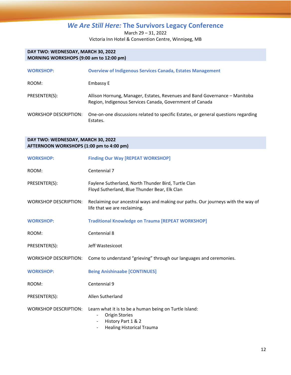March 29 – 31, 2022 Victoria Inn Hotel & Convention Centre, Winnipeg, MB

#### **DAY TWO: WEDNESDAY, MARCH 30, 2022 MORNING WORKSHOPS (9:00 am to 12:00 pm)**

| <b>WORKSHOP:</b>      | <b>Overview of Indigenous Services Canada, Estates Management</b>                                                                      |
|-----------------------|----------------------------------------------------------------------------------------------------------------------------------------|
| ROOM:                 | Embassy E                                                                                                                              |
| PRESENTER(S):         | Allison Hornung, Manager, Estates, Revenues and Band Governance - Manitoba<br>Region, Indigenous Services Canada, Government of Canada |
| WORKSHOP DESCRIPTION: | One-on-one discussions related to specific Estates, or general questions regarding<br>Estates.                                         |

#### **DAY TWO: WEDNESDAY, MARCH 30, 2022 AFTERNOON WORKSHOPS (1:00 pm to 4:00 pm)**

| <b>WORKSHOP:</b>             | <b>Finding Our Way [REPEAT WORKSHOP]</b>                                                                                                                                                          |
|------------------------------|---------------------------------------------------------------------------------------------------------------------------------------------------------------------------------------------------|
| ROOM:                        | Centennial 7                                                                                                                                                                                      |
| PRESENTER(S):                | Faylene Sutherland, North Thunder Bird, Turtle Clan<br>Floyd Sutherland, Blue Thunder Bear, Elk Clan                                                                                              |
| <b>WORKSHOP DESCRIPTION:</b> | Reclaiming our ancestral ways and making our paths. Our journeys with the way of<br>life that we are reclaiming.                                                                                  |
| <b>WORKSHOP:</b>             | <b>Traditional Knowledge on Trauma [REPEAT WORKSHOP]</b>                                                                                                                                          |
| ROOM:                        | Centennial 8                                                                                                                                                                                      |
| PRESENTER(S):                | Jeff Wastesicoot                                                                                                                                                                                  |
| <b>WORKSHOP DESCRIPTION:</b> | Come to understand "grieving" through our languages and ceremonies.                                                                                                                               |
| <b>WORKSHOP:</b>             | <b>Being Anishinaabe [CONTINUES]</b>                                                                                                                                                              |
| ROOM:                        | Centennial 9                                                                                                                                                                                      |
| PRESENTER(S):                | Allen Sutherland                                                                                                                                                                                  |
| <b>WORKSHOP DESCRIPTION:</b> | Learn what it is to be a human being on Turtle Island:<br><b>Origin Stories</b><br>$\overline{\phantom{a}}$<br>History Part 1 & 2<br><b>Healing Historical Trauma</b><br>$\overline{\phantom{a}}$ |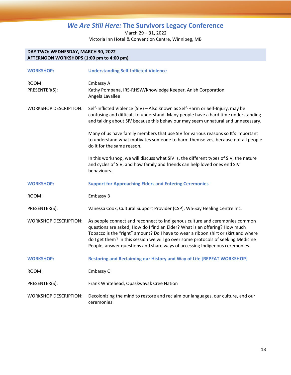March 29 – 31, 2022 Victoria Inn Hotel & Convention Centre, Winnipeg, MB

#### **DAY TWO: WEDNESDAY, MARCH 30, 2022 AFTERNOON WORKSHOPS (1:00 pm to 4:00 pm)**

| <b>WORKSHOP:</b>             | <b>Understanding Self-Inflicted Violence</b>                                                                                                                                                                                                                                                                                                                                                                        |
|------------------------------|---------------------------------------------------------------------------------------------------------------------------------------------------------------------------------------------------------------------------------------------------------------------------------------------------------------------------------------------------------------------------------------------------------------------|
| ROOM:<br>PRESENTER(S):       | Embassy A<br>Kathy Pompana, IRS-RHSW/Knowledge Keeper, Anish Corporation<br>Angela Lavallee                                                                                                                                                                                                                                                                                                                         |
| <b>WORKSHOP DESCRIPTION:</b> | Self-Inflicted Violence (SIV) - Also known as Self-Harm or Self-Injury, may be<br>confusing and difficult to understand. Many people have a hard time understanding<br>and talking about SIV because this behaviour may seem unnatural and unnecessary.                                                                                                                                                             |
|                              | Many of us have family members that use SIV for various reasons so It's important<br>to understand what motivates someone to harm themselves, because not all people<br>do it for the same reason.                                                                                                                                                                                                                  |
|                              | In this workshop, we will discuss what SIV is, the different types of SIV, the nature<br>and cycles of SIV, and how family and friends can help loved ones end SIV<br>behaviours.                                                                                                                                                                                                                                   |
| <b>WORKSHOP:</b>             | <b>Support for Approaching Elders and Entering Ceremonies</b>                                                                                                                                                                                                                                                                                                                                                       |
| ROOM:                        | Embassy B                                                                                                                                                                                                                                                                                                                                                                                                           |
| PRESENTER(S):                | Vanessa Cook, Cultural Support Provider (CSP), Wa-Say Healing Centre Inc.                                                                                                                                                                                                                                                                                                                                           |
| <b>WORKSHOP DESCRIPTION:</b> | As people connect and reconnect to Indigenous culture and ceremonies common<br>questions are asked; How do I find an Elder? What is an offering? How much<br>Tobacco is the "right" amount? Do I have to wear a ribbon shirt or skirt and where<br>do I get them? In this session we will go over some protocols of seeking Medicine<br>People, answer questions and share ways of accessing Indigenous ceremonies. |
| <b>WORKSHOP:</b>             | <b>Restoring and Reclaiming our History and Way of Life [REPEAT WORKSHOP]</b>                                                                                                                                                                                                                                                                                                                                       |
| ROOM:                        | Embassy C                                                                                                                                                                                                                                                                                                                                                                                                           |
| PRESENTER(S):                | Frank Whitehead, Opaskwayak Cree Nation                                                                                                                                                                                                                                                                                                                                                                             |
| <b>WORKSHOP DESCRIPTION:</b> | Decolonizing the mind to restore and reclaim our languages, our culture, and our<br>ceremonies.                                                                                                                                                                                                                                                                                                                     |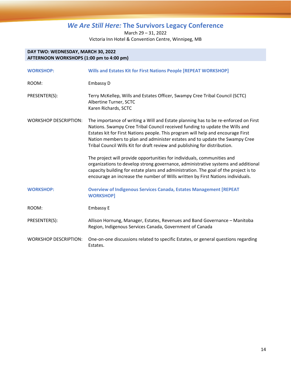March 29 – 31, 2022 Victoria Inn Hotel & Convention Centre, Winnipeg, MB

#### **DAY TWO: WEDNESDAY, MARCH 30, 2022 AFTERNOON WORKSHOPS (1:00 pm to 4:00 pm)**

| <b>WORKSHOP:</b>             | Wills and Estates Kit for First Nations People [REPEAT WORKSHOP]                                                                                                                                                                                                                                                                                                                                                                                                                                                                                                                     |
|------------------------------|--------------------------------------------------------------------------------------------------------------------------------------------------------------------------------------------------------------------------------------------------------------------------------------------------------------------------------------------------------------------------------------------------------------------------------------------------------------------------------------------------------------------------------------------------------------------------------------|
| ROOM:                        | Embassy D                                                                                                                                                                                                                                                                                                                                                                                                                                                                                                                                                                            |
| PRESENTER(S):                | Terry McKellep, Wills and Estates Officer, Swampy Cree Tribal Council (SCTC)<br>Albertine Turner, SCTC<br>Karen Richards, SCTC                                                                                                                                                                                                                                                                                                                                                                                                                                                       |
| <b>WORKSHOP DESCRIPTION:</b> | The importance of writing a Will and Estate planning has to be re-enforced on First<br>Nations. Swampy Cree Tribal Council received funding to update the Wills and<br>Estates kit for First Nations people. This program will help and encourage First<br>Nation members to plan and administer estates and to update the Swampy Cree<br>Tribal Council Wills Kit for draft review and publishing for distribution.<br>The project will provide opportunities for individuals, communities and<br>organizations to develop strong governance, administrative systems and additional |
|                              | capacity building for estate plans and administration. The goal of the project is to<br>encourage an increase the number of Wills written by First Nations individuals.                                                                                                                                                                                                                                                                                                                                                                                                              |
| <b>WORKSHOP:</b>             | <b>Overview of Indigenous Services Canada, Estates Management [REPEAT</b><br><b>WORKSHOP]</b>                                                                                                                                                                                                                                                                                                                                                                                                                                                                                        |
| ROOM:                        | Embassy E                                                                                                                                                                                                                                                                                                                                                                                                                                                                                                                                                                            |
| PRESENTER(S):                | Allison Hornung, Manager, Estates, Revenues and Band Governance - Manitoba<br>Region, Indigenous Services Canada, Government of Canada                                                                                                                                                                                                                                                                                                                                                                                                                                               |
| <b>WORKSHOP DESCRIPTION:</b> | One-on-one discussions related to specific Estates, or general questions regarding<br>Estates.                                                                                                                                                                                                                                                                                                                                                                                                                                                                                       |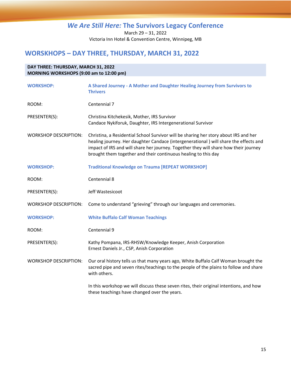March 29 – 31, 2022 Victoria Inn Hotel & Convention Centre, Winnipeg, MB

## <span id="page-17-0"></span>**WORSKHOPS – DAY THREE, THURSDAY, MARCH 31, 2022**

## **DAY THREE: THURSDAY, MARCH 31, 2022 MORNING WORKSHOPS (9:00 am to 12:00 pm) WORKSHOP: A Shared Journey - A Mother and Daughter Healing Journey from Survivors to Thrivers** ROOM: Centennial 7 PRESENTER(S): Christina Kitchekesik, Mother, IRS Survivor Candace Nykiforuk, Daughter, IRS Intergenerational Survivor WORKSHOP DESCRIPTION: Christina, a Residential School Survivor will be sharing her story about IRS and her healing journey. Her daughter Candace (intergenerational ) will share the effects and impact of IRS and will share her journey. Together they will share how their journey brought them together and their continuous healing to this day **WORKSHOP: Traditional Knowledge on Trauma [REPEAT WORKSHOP]** ROOM: Centennial 8 PRESENTER(S): Jeff Wastesicoot WORKSHOP DESCRIPTION: Come to understand "grieving" through our languages and ceremonies. **WORKSHOP: White Buffalo Calf Woman Teachings** ROOM: Centennial 9 PRESENTER(S): Kathy Pompana, IRS-RHSW/Knowledge Keeper, Anish Corporation Ernest Daniels Jr., CSP, Anish Corporation WORKSHOP DESCRIPTION: Our oral history tells us that many years ago, White Buffalo Calf Woman brought the sacred pipe and seven rites/teachings to the people of the plains to follow and share with others. In this workshop we will discuss these seven rites, their original intentions, and how these teachings have changed over the years.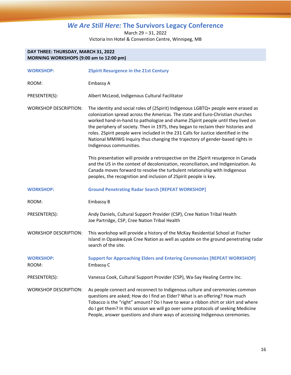March 29 – 31, 2022 Victoria Inn Hotel & Convention Centre, Winnipeg, MB

#### **DAY THREE: THURSDAY, MARCH 31, 2022 MORNING WORKSHOPS (9:00 am to 12:00 pm)**

| <b>WORKSHOP:</b>             | <b>2Spirit Resurgence in the 21st Century</b>                                                                                                                                                                                                                                                                                                                                                                                                                                                                                                  |
|------------------------------|------------------------------------------------------------------------------------------------------------------------------------------------------------------------------------------------------------------------------------------------------------------------------------------------------------------------------------------------------------------------------------------------------------------------------------------------------------------------------------------------------------------------------------------------|
| ROOM:                        | Embassy A                                                                                                                                                                                                                                                                                                                                                                                                                                                                                                                                      |
| PRESENTER(S):                | Albert McLeod, Indigenous Cultural Facilitator                                                                                                                                                                                                                                                                                                                                                                                                                                                                                                 |
| <b>WORKSHOP DESCRIPTION:</b> | The identity and social roles of (2Spirit) Indigenous LGBTQ+ people were erased as<br>colonization spread across the Americas. The state and Euro-Christian churches<br>worked hand-in-hand to pathologize and shame 2Spirit people until they lived on<br>the periphery of society. Then in 1975, they began to reclaim their histories and<br>roles. 2Spirit people were included in the 231 Calls for Justice identified in the<br>National MMIWG Inquiry thus changing the trajectory of gender-based rights in<br>Indigenous communities. |
|                              | This presentation will provide a retrospective on the 2Spirit resurgence in Canada<br>and the US in the context of decolonization, reconciliation, and Indigenization. As<br>Canada moves forward to resolve the turbulent relationship with Indigenous<br>peoples, the recognition and inclusion of 2Spirit people is key.                                                                                                                                                                                                                    |
| <b>WORKSHOP:</b>             | <b>Ground Penetrating Radar Search [REPEAT WORKSHOP]</b>                                                                                                                                                                                                                                                                                                                                                                                                                                                                                       |
| ROOM:                        | <b>Embassy B</b>                                                                                                                                                                                                                                                                                                                                                                                                                                                                                                                               |
| PRESENTER(S):                | Andy Daniels, Cultural Support Provider (CSP), Cree Nation Tribal Health<br>Joe Partridge, CSP, Cree Nation Tribal Health                                                                                                                                                                                                                                                                                                                                                                                                                      |
| <b>WORKSHOP DESCRIPTION:</b> | This workshop will provide a history of the McKay Residential School at Fischer<br>Island in Opaskwayak Cree Nation as well as update on the ground penetrating radar<br>search of the site.                                                                                                                                                                                                                                                                                                                                                   |
| <b>WORKSHOP:</b><br>ROOM:    | <b>Support for Approaching Elders and Entering Ceremonies [REPEAT WORKSHOP]</b><br>Embassy C                                                                                                                                                                                                                                                                                                                                                                                                                                                   |
| PRESENTER(S):                | Vanessa Cook, Cultural Support Provider (CSP), Wa-Say Healing Centre Inc.                                                                                                                                                                                                                                                                                                                                                                                                                                                                      |
| <b>WORKSHOP DESCRIPTION:</b> | As people connect and reconnect to Indigenous culture and ceremonies common<br>questions are asked; How do I find an Elder? What is an offering? How much<br>Tobacco is the "right" amount? Do I have to wear a ribbon shirt or skirt and where<br>do I get them? In this session we will go over some protocols of seeking Medicine<br>People, answer questions and share ways of accessing Indigenous ceremonies.                                                                                                                            |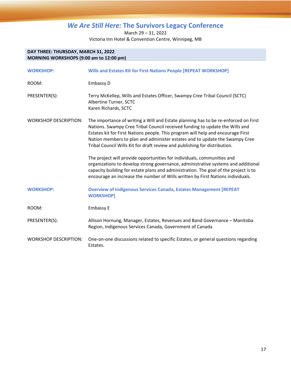March 29 – 31, 2022 Victoria Inn Hotel & Convention Centre, Winnipeg, MB

#### **DAY THREE: THURSDAY, MARCH 31, 2022 MORNING WORKSHOPS (9:00 am to 12:00 pm)**

| <b>WORKSHOP:</b>             | Wills and Estates Kit for First Nations People [REPEAT WORKSHOP]                                                                                                                                                                                                                                                                                                                                                     |
|------------------------------|----------------------------------------------------------------------------------------------------------------------------------------------------------------------------------------------------------------------------------------------------------------------------------------------------------------------------------------------------------------------------------------------------------------------|
| ROOM:                        | Embassy D                                                                                                                                                                                                                                                                                                                                                                                                            |
| PRESENTER(S):                | Terry McKellep, Wills and Estates Officer, Swampy Cree Tribal Council (SCTC)<br>Albertine Turner, SCTC<br>Karen Richards, SCTC                                                                                                                                                                                                                                                                                       |
| <b>WORKSHOP DESCRIPTION:</b> | The importance of writing a Will and Estate planning has to be re-enforced on First<br>Nations. Swampy Cree Tribal Council received funding to update the Wills and<br>Estates kit for First Nations people. This program will help and encourage First<br>Nation members to plan and administer estates and to update the Swampy Cree<br>Tribal Council Wills Kit for draft review and publishing for distribution. |
|                              | The project will provide opportunities for individuals, communities and<br>organizations to develop strong governance, administrative systems and additional<br>capacity building for estate plans and administration. The goal of the project is to<br>encourage an increase the number of Wills written by First Nations individuals.                                                                              |
| <b>WORKSHOP:</b>             | <b>Overview of Indigenous Services Canada, Estates Management [REPEAT</b><br><b>WORKSHOP]</b>                                                                                                                                                                                                                                                                                                                        |
| ROOM:                        | Embassy E                                                                                                                                                                                                                                                                                                                                                                                                            |
| PRESENTER(S):                | Allison Hornung, Manager, Estates, Revenues and Band Governance - Manitoba<br>Region, Indigenous Services Canada, Government of Canada                                                                                                                                                                                                                                                                               |
| <b>WORKSHOP DESCRIPTION:</b> | One-on-one discussions related to specific Estates, or general questions regarding<br>Estates.                                                                                                                                                                                                                                                                                                                       |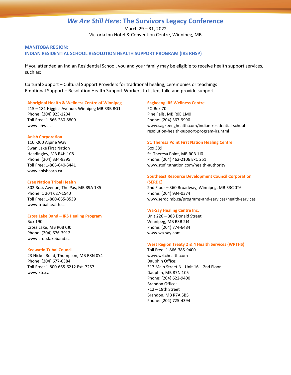March 29 – 31, 2022 Victoria Inn Hotel & Convention Centre, Winnipeg, MB

#### **MANITOBA REGION: INDIAN RESIDENTIAL SCHOOL RESOLUTION HEALTH SUPPORT PROGRAM (IRS RHSP)**

If you attended an Indian Residential School, you and your family may be eligible to receive health support services, such as:

Cultural Support – Cultural Support Providers for traditional healing, ceremonies or teachings Emotional Support – Resolution Health Support Workers to listen, talk, and provide support

#### **Aboriginal Health & Wellness Centre of Winnipeg**

215 – 181 Higgins Avenue, Winnipeg MB R3B RG1 Phone: (204) 925-1204 Toll Free: 1-866-280-8809 www.ahwc.ca

#### **Anish Corporation**

110 -200 Alpine Way Swan Lake First Nation Headingley, MB R4H 1C8 Phone: (204) 334-9395 Toll Free: 1-866-640-5441 www.anishcorp.ca

#### **Cree Nation Tribal Health**

302 Ross Avenue, The Pas, MB R9A 1K5 Phone: 1 204 627-1540 Toll Free: 1-800-665-8539 www.tribalhealth.ca

#### **Cross Lake Band – IRS Healing Program**

Box 190 Cross Lake, MB R0B 0J0 Phone: (204) 676-3912 www.crosslakeband.ca

#### **Keewatin Tribal Council**

23 Nickel Road, Thompson, MB R8N 0Y4 Phone: (204) 677-0384 Toll Free: 1-800-665-6212 Ext. 7257 www.ktc.ca

#### **Sagkeeng IRS Wellness Centre**

PO Box 70 Pine Falls, MB R0E 1M0 Phone: (204) 367-9990 www.sagkeenghealth.com/indian-residential-schoolresolution-health-support-program-irs.html

#### **St. Theresa Point First Nation Healing Centre**

Box 389 St. Theresa Point, MB R0B 1J0 Phone: (204) 462-2106 Ext. 251 www.stpfirstnation.com/health-authority

#### **Southeast Resource Development Council Corporation (SERDC)**

2nd Floor – 360 Broadway, Winnipeg, MB R3C 0T6 Phone: (204) 934-0374 www.serdc.mb.ca/programs-and-services/health-services

#### **Wa-Say Healing Centre Inc.**

Unit 226 – 388 Donald Street Winnipeg, MB R3B 2J4 Phone: (204) 774-6484 www.wa-say.com

#### **West Region Treaty 2 & 4 Health Services (WRTHS)**

Toll Free: 1-866-385-9400 www.wrtchealth.com Dauphin Office: 317 Main Street N., Unit 16 – 2nd Floor Dauphin, MB R7N 1C5 Phone: (204) 622-9400 Brandon Office: 712 – 18th Street Brandon, MB R7A 5B5 Phone: (204) 725-4394